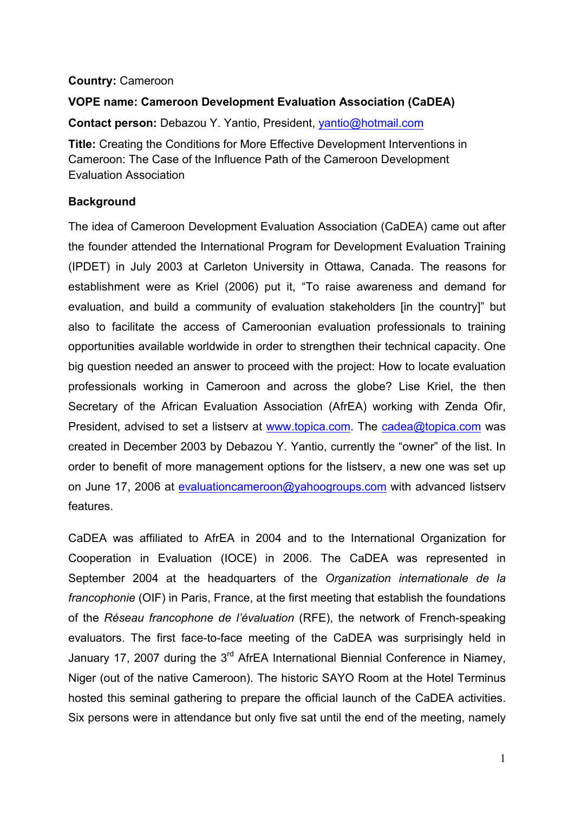### **Country:** Cameroon

# **VOPE name: Cameroon Development Evaluation Association (CaDEA)**

**Contact person:** Debazou Y. Yantio, President, yantio@hotmail.com

**Title:** Creating the Conditions for More Effective Development Interventions in Cameroon: The Case of the Influence Path of the Cameroon Development Evaluation Association

### **Background**

The idea of Cameroon Development Evaluation Association (CaDEA) came out after the founder attended the International Program for Development Evaluation Training (IPDET) in July 2003 at Carleton University in Ottawa, Canada. The reasons for establishment were as Kriel (2006) put it, "To raise awareness and demand for evaluation, and build a community of evaluation stakeholders [in the country]" but also to facilitate the access of Cameroonian evaluation professionals to training opportunities available worldwide in order to strengthen their technical capacity. One big question needed an answer to proceed with the project: How to locate evaluation professionals working in Cameroon and across the globe? Lise Kriel, the then Secretary of the African Evaluation Association (AfrEA) working with Zenda Ofir, President, advised to set a listserv at www.topica.com. The cadea@topica.com was created in December 2003 by Debazou Y. Yantio, currently the "owner" of the list. In order to benefit of more management options for the listserv, a new one was set up on June 17, 2006 at evaluationcameroon@yahoogroups.com with advanced listserv features.

CaDEA was affiliated to AfrEA in 2004 and to the International Organization for Cooperation in Evaluation (IOCE) in 2006. The CaDEA was represented in September 2004 at the headquarters of the *Organization internationale de la francophonie* (OIF) in Paris, France, at the first meeting that establish the foundations of the *Réseau francophone de l'évaluation* (RFE), the network of French-speaking evaluators. The first face-to-face meeting of the CaDEA was surprisingly held in January 17, 2007 during the 3<sup>rd</sup> AfrEA International Biennial Conference in Niamey, Niger (out of the native Cameroon). The historic SAYO Room at the Hotel Terminus hosted this seminal gathering to prepare the official launch of the CaDEA activities. Six persons were in attendance but only five sat until the end of the meeting, namely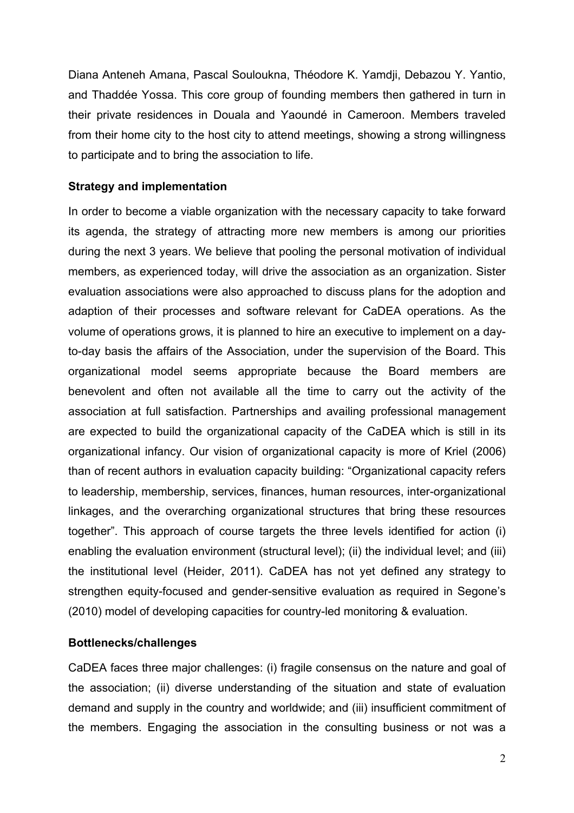Diana Anteneh Amana, Pascal Souloukna, Théodore K. Yamdji, Debazou Y. Yantio, and Thaddée Yossa. This core group of founding members then gathered in turn in their private residences in Douala and Yaoundé in Cameroon. Members traveled from their home city to the host city to attend meetings, showing a strong willingness to participate and to bring the association to life.

## **Strategy and implementation**

In order to become a viable organization with the necessary capacity to take forward its agenda, the strategy of attracting more new members is among our priorities during the next 3 years. We believe that pooling the personal motivation of individual members, as experienced today, will drive the association as an organization. Sister evaluation associations were also approached to discuss plans for the adoption and adaption of their processes and software relevant for CaDEA operations. As the volume of operations grows, it is planned to hire an executive to implement on a dayto-day basis the affairs of the Association, under the supervision of the Board. This organizational model seems appropriate because the Board members are benevolent and often not available all the time to carry out the activity of the association at full satisfaction. Partnerships and availing professional management are expected to build the organizational capacity of the CaDEA which is still in its organizational infancy. Our vision of organizational capacity is more of Kriel (2006) than of recent authors in evaluation capacity building: "Organizational capacity refers to leadership, membership, services, finances, human resources, inter-organizational linkages, and the overarching organizational structures that bring these resources together". This approach of course targets the three levels identified for action (i) enabling the evaluation environment (structural level); (ii) the individual level; and (iii) the institutional level (Heider, 2011). CaDEA has not yet defined any strategy to strengthen equity-focused and gender-sensitive evaluation as required in Segone's (2010) model of developing capacities for country-led monitoring & evaluation.

### **Bottlenecks/challenges**

CaDEA faces three major challenges: (i) fragile consensus on the nature and goal of the association; (ii) diverse understanding of the situation and state of evaluation demand and supply in the country and worldwide; and (iii) insufficient commitment of the members. Engaging the association in the consulting business or not was a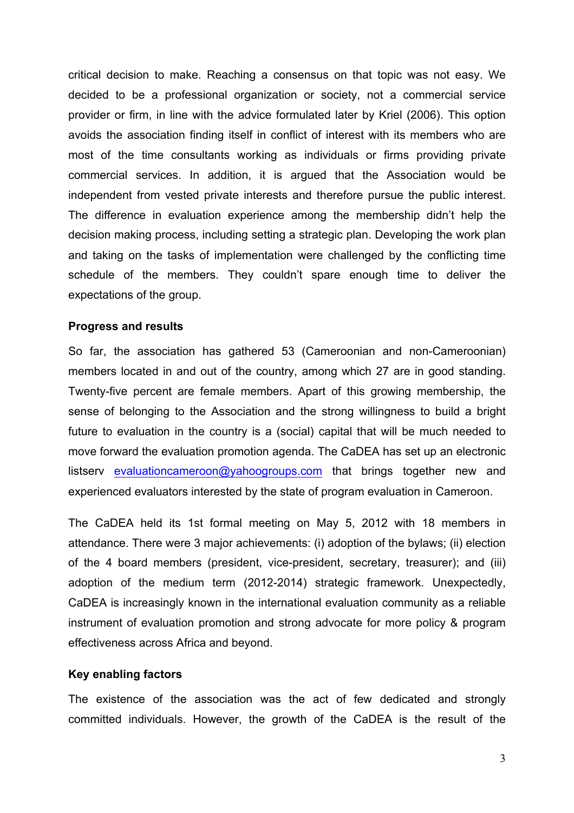critical decision to make. Reaching a consensus on that topic was not easy. We decided to be a professional organization or society, not a commercial service provider or firm, in line with the advice formulated later by Kriel (2006). This option avoids the association finding itself in conflict of interest with its members who are most of the time consultants working as individuals or firms providing private commercial services. In addition, it is argued that the Association would be independent from vested private interests and therefore pursue the public interest. The difference in evaluation experience among the membership didn't help the decision making process, including setting a strategic plan. Developing the work plan and taking on the tasks of implementation were challenged by the conflicting time schedule of the members. They couldn't spare enough time to deliver the expectations of the group.

#### **Progress and results**

So far, the association has gathered 53 (Cameroonian and non-Cameroonian) members located in and out of the country, among which 27 are in good standing. Twenty-five percent are female members. Apart of this growing membership, the sense of belonging to the Association and the strong willingness to build a bright future to evaluation in the country is a (social) capital that will be much needed to move forward the evaluation promotion agenda. The CaDEA has set up an electronic listsery evaluationcameroon@yahoogroups.com that brings together new and experienced evaluators interested by the state of program evaluation in Cameroon.

The CaDEA held its 1st formal meeting on May 5, 2012 with 18 members in attendance. There were 3 major achievements: (i) adoption of the bylaws; (ii) election of the 4 board members (president, vice-president, secretary, treasurer); and (iii) adoption of the medium term (2012-2014) strategic framework. Unexpectedly, CaDEA is increasingly known in the international evaluation community as a reliable instrument of evaluation promotion and strong advocate for more policy & program effectiveness across Africa and beyond.

### **Key enabling factors**

The existence of the association was the act of few dedicated and strongly committed individuals. However, the growth of the CaDEA is the result of the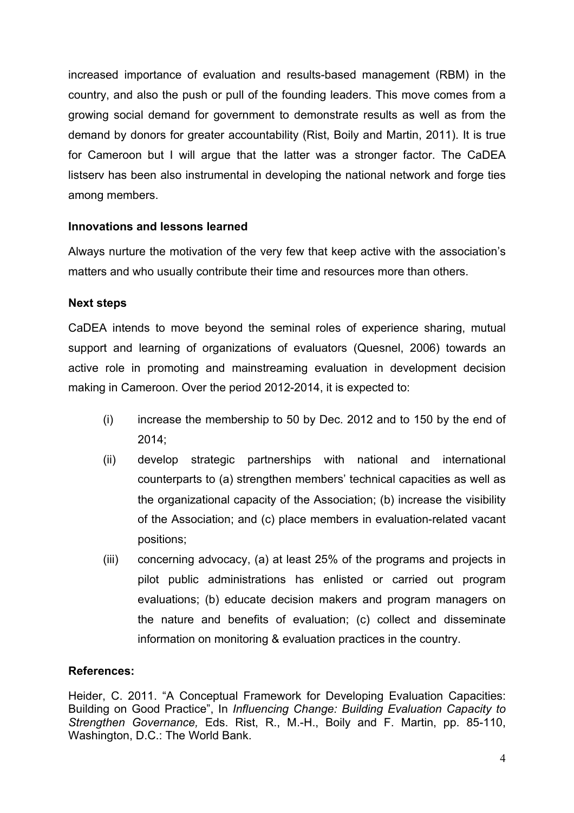increased importance of evaluation and results-based management (RBM) in the country, and also the push or pull of the founding leaders. This move comes from a growing social demand for government to demonstrate results as well as from the demand by donors for greater accountability (Rist, Boily and Martin, 2011). It is true for Cameroon but I will argue that the latter was a stronger factor. The CaDEA listserv has been also instrumental in developing the national network and forge ties among members.

# **Innovations and lessons learned**

Always nurture the motivation of the very few that keep active with the association's matters and who usually contribute their time and resources more than others.

# **Next steps**

CaDEA intends to move beyond the seminal roles of experience sharing, mutual support and learning of organizations of evaluators (Quesnel, 2006) towards an active role in promoting and mainstreaming evaluation in development decision making in Cameroon. Over the period 2012-2014, it is expected to:

- (i) increase the membership to 50 by Dec. 2012 and to 150 by the end of 2014;
- (ii) develop strategic partnerships with national and international counterparts to (a) strengthen members' technical capacities as well as the organizational capacity of the Association; (b) increase the visibility of the Association; and (c) place members in evaluation-related vacant positions;
- (iii) concerning advocacy, (a) at least 25% of the programs and projects in pilot public administrations has enlisted or carried out program evaluations; (b) educate decision makers and program managers on the nature and benefits of evaluation; (c) collect and disseminate information on monitoring & evaluation practices in the country.

# **References:**

Heider, C. 2011. "A Conceptual Framework for Developing Evaluation Capacities: Building on Good Practice", In *Influencing Change: Building Evaluation Capacity to Strengthen Governance,* Eds. Rist, R., M.-H., Boily and F. Martin, pp. 85-110, Washington, D.C.: The World Bank.